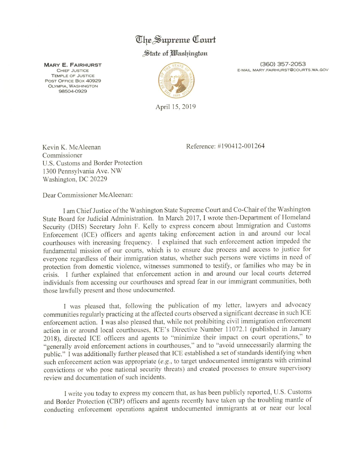## The Supreme Court

## State of *Illashington*

**MARY E. FAIRHURST CHIEF JUSTICE** Temple of Justice Post Office Box 40929 Olympia, Washington 98504-0929



April 15,2019

(360) 357-2053 E-MAIL MARY.FAIRHURST@COURTS.WA.GOV

Kevin K. McAleenan Reference: #190412-001264

Commissioner U.S. Customs and Border Protection 1300 Pennsylvania Ave. NW Washington, DC 20229

Dear Commissioner McAleenan:

I am Chief Justice of the Washington State Supreme Court and Co-Chair of the Washington State Board for Judicial Administration. In March 2017, I wrote then-Department of Homeland Security (DBS) Secretary John F. Kelly to express concern about Immigration and Customs Enforcement (ICE) officers and agents taking enforcement action in and around our local courthouses with increasing frequency. I explained that such enforcement action impeded the fundamental mission of our courts, which is to ensure due process and access to justice for everyone regardless of their immigration status, whether such persons were victims in need of protection from domestic violence, witnesses summoned to testify, or families who may be in crisis. I further explained that enforcement action in and around our local courts deterred individuals from accessing our courthouses and spread fear in our immigrant communities, both those lawfully present and those undocumented.

I was pleased that, following the publication of my letter, lawyers and advocacy communities regularly practicing at the affected courts observed a significant decrease in such ICE enforcement action. I was also pleased that, while not prohibiting civil immigration enforcement action in or around local courthouses, ICE's Directive Number 11072.1 (published in January 2018), directed ICE officers and agents to "minimize their impact on court operations," to "generally avoid enforcement actions in courthouses," and to "avoid unnecessarily alarming the public." I was additionally further pleased that ICE established a set of standards identifying when such enforcement action was appropriate (e.g., to target undocumented immigrants with criminal convictions or who pose national security threats) and created processes to ensure supervisory review and documentation of such incidents.

I write you today to express my concern that, as has been publicly reported, U.S. Customs and Border Protection (CBP) officers and agents recently have taken up the troubling mantle of conducting enforcement operations against undocumented immigrants at or near our local